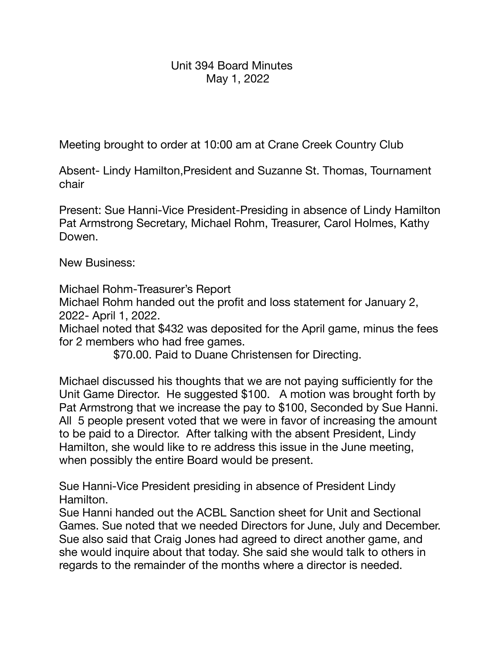## Unit 394 Board Minutes May 1, 2022

Meeting brought to order at 10:00 am at Crane Creek Country Club

Absent- Lindy Hamilton,President and Suzanne St. Thomas, Tournament chair

Present: Sue Hanni-Vice President-Presiding in absence of Lindy Hamilton Pat Armstrong Secretary, Michael Rohm, Treasurer, Carol Holmes, Kathy Dowen.

New Business:

Michael Rohm-Treasurer's Report

Michael Rohm handed out the profit and loss statement for January 2, 2022- April 1, 2022.

Michael noted that \$432 was deposited for the April game, minus the fees for 2 members who had free games.

\$70.00. Paid to Duane Christensen for Directing.

Michael discussed his thoughts that we are not paying sufficiently for the Unit Game Director. He suggested \$100. A motion was brought forth by Pat Armstrong that we increase the pay to \$100, Seconded by Sue Hanni. All 5 people present voted that we were in favor of increasing the amount to be paid to a Director. After talking with the absent President, Lindy Hamilton, she would like to re address this issue in the June meeting, when possibly the entire Board would be present.

Sue Hanni-Vice President presiding in absence of President Lindy Hamilton.

Sue Hanni handed out the ACBL Sanction sheet for Unit and Sectional Games. Sue noted that we needed Directors for June, July and December. Sue also said that Craig Jones had agreed to direct another game, and she would inquire about that today. She said she would talk to others in regards to the remainder of the months where a director is needed.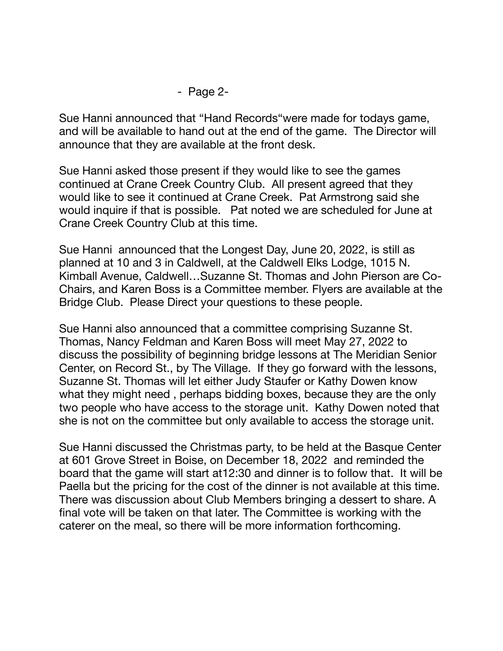## - Page 2-

Sue Hanni announced that "Hand Records"were made for todays game, and will be available to hand out at the end of the game. The Director will announce that they are available at the front desk.

Sue Hanni asked those present if they would like to see the games continued at Crane Creek Country Club. All present agreed that they would like to see it continued at Crane Creek. Pat Armstrong said she would inquire if that is possible. Pat noted we are scheduled for June at Crane Creek Country Club at this time.

Sue Hanni announced that the Longest Day, June 20, 2022, is still as planned at 10 and 3 in Caldwell, at the Caldwell Elks Lodge, 1015 N. Kimball Avenue, Caldwell…Suzanne St. Thomas and John Pierson are Co-Chairs, and Karen Boss is a Committee member. Flyers are available at the Bridge Club. Please Direct your questions to these people.

Sue Hanni also announced that a committee comprising Suzanne St. Thomas, Nancy Feldman and Karen Boss will meet May 27, 2022 to discuss the possibility of beginning bridge lessons at The Meridian Senior Center, on Record St., by The Village. If they go forward with the lessons, Suzanne St. Thomas will let either Judy Staufer or Kathy Dowen know what they might need , perhaps bidding boxes, because they are the only two people who have access to the storage unit. Kathy Dowen noted that she is not on the committee but only available to access the storage unit.

Sue Hanni discussed the Christmas party, to be held at the Basque Center at 601 Grove Street in Boise, on December 18, 2022 and reminded the board that the game will start at12:30 and dinner is to follow that. It will be Paella but the pricing for the cost of the dinner is not available at this time. There was discussion about Club Members bringing a dessert to share. A final vote will be taken on that later. The Committee is working with the caterer on the meal, so there will be more information forthcoming.